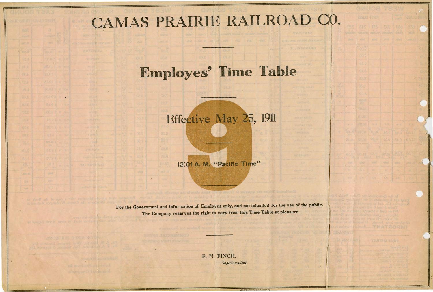## CAMAS PRAIRIE RAILROAD CO.

## Employes' Time Table

## Effective May 25, 1911

12:01 A. M. "Pacific Time"

•

For the Government and Information of Employes only, and not intended for the use of the public. **The Company reserves the right to vary from this Time Table at pleasure** 

> F. N. FINCH, *Superintendent.*

> > WISTON PRINTING & BINDING CO.